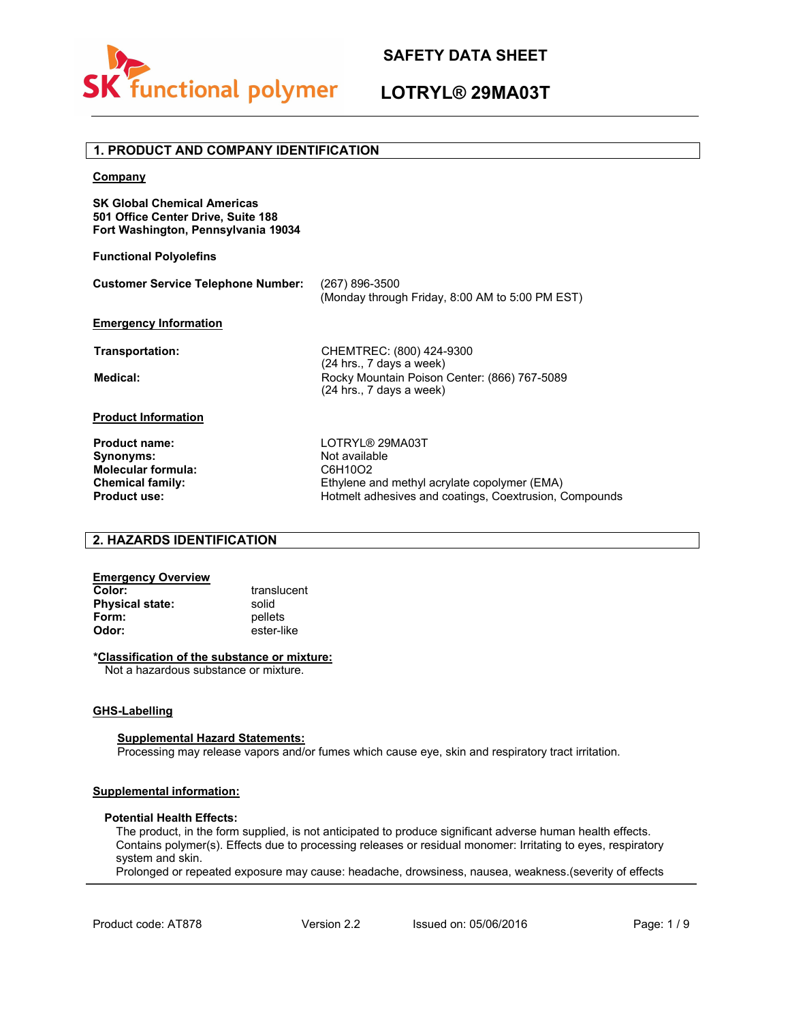

## **LOTRYL® 29MA03T**

### **Company SK Global Chemical Americas 501 Office Center Drive, Suite 188 Fort Washington, Pennsylvania 19034 Functional Polyolefins Customer Service Telephone Number: Emergency Information** (267) 896-3500 (Monday through Friday, 8:00 AM to 5:00 PM EST) **Product Information Product name:** LOTRYL® 29MA03T<br> **Synonyms:** Not available **Not available Molecular formula:** C6H10O2 **Chemical family:** Ethylene and methyl acrylate copolymer (EMA)<br>**Product use:** From Ethylene and methyl acrylate copolymer (EMA) Hotmelt adhesives and coatings, Coextrusion, Compounds **1. PRODUCT AND COMPANY IDENTIFICATION Transportation:** CHEMTREC: (800) 424-9300 (24 hrs., 7 days a week) **Medical:** Rocky Mountain Poison Center: (866) 767-5089 (24 hrs., 7 days a week)

### **2. HAZARDS IDENTIFICATION**

| translucent |
|-------------|
| solid       |
| pellets     |
| ester-like  |
|             |

#### **\*Classification of the substance or mixture:**

Not a hazardous substance or mixture.

#### **GHS-Labelling**

#### **Supplemental Hazard Statements:**

Processing may release vapors and/or fumes which cause eye, skin and respiratory tract irritation.

#### **Supplemental information:**

#### **Potential Health Effects:**

The product, in the form supplied, is not anticipated to produce significant adverse human health effects. Contains polymer(s). Effects due to processing releases or residual monomer: Irritating to eyes, respiratory system and skin.

Prolonged or repeated exposure may cause: headache, drowsiness, nausea, weakness.(severity of effects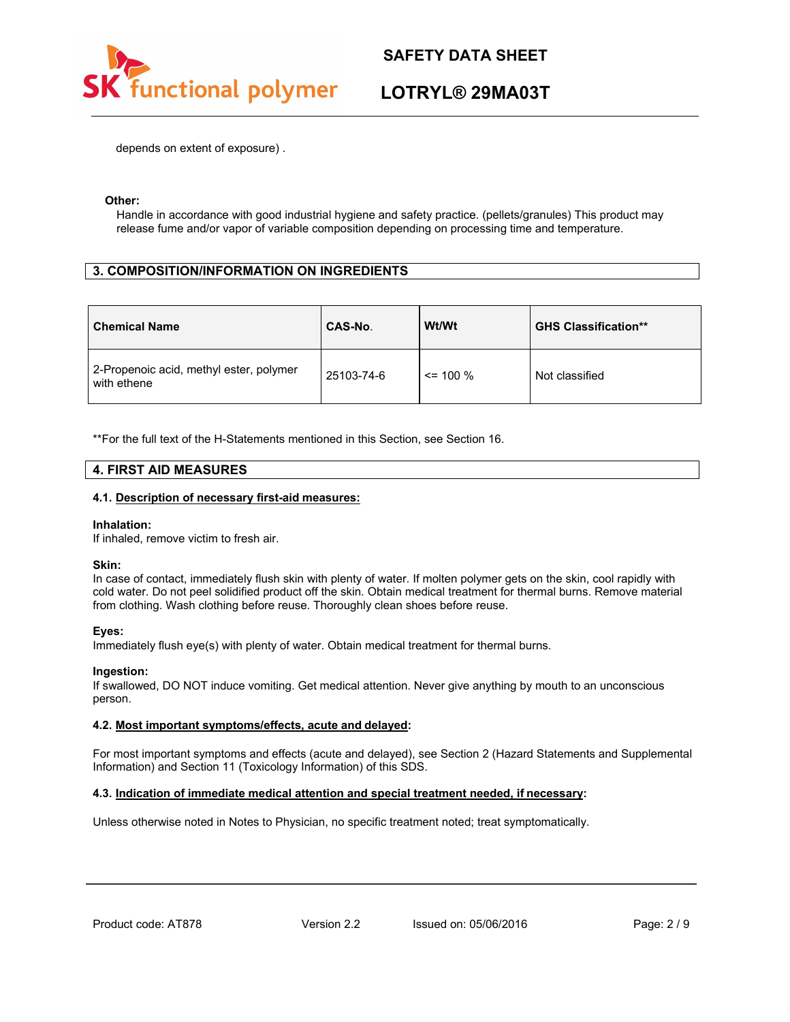

## **LOTRYL® 29MA03T**

depends on extent of exposure) .

#### **Other:**

Handle in accordance with good industrial hygiene and safety practice. (pellets/granules) This product may release fume and/or vapor of variable composition depending on processing time and temperature.

### **3. COMPOSITION/INFORMATION ON INGREDIENTS**

| <b>Chemical Name</b>                                   | CAS-No.    | Wt/Wt       | <b>GHS Classification**</b> |
|--------------------------------------------------------|------------|-------------|-----------------------------|
| 2-Propenoic acid, methyl ester, polymer<br>with ethene | 25103-74-6 | $\le$ 100 % | Not classified              |

\*\*For the full text of the H-Statements mentioned in this Section, see Section 16.

#### **4. FIRST AID MEASURES**

#### **4.1. Description of necessary first-aid measures:**

#### **Inhalation:**

If inhaled, remove victim to fresh air.

#### **Skin:**

In case of contact, immediately flush skin with plenty of water. If molten polymer gets on the skin, cool rapidly with cold water. Do not peel solidified product off the skin. Obtain medical treatment for thermal burns. Remove material from clothing. Wash clothing before reuse. Thoroughly clean shoes before reuse.

#### **Eyes:**

Immediately flush eye(s) with plenty of water. Obtain medical treatment for thermal burns.

#### **Ingestion:**

If swallowed, DO NOT induce vomiting. Get medical attention. Never give anything by mouth to an unconscious person.

#### **4.2. Most important symptoms/effects, acute and delayed:**

For most important symptoms and effects (acute and delayed), see Section 2 (Hazard Statements and Supplemental Information) and Section 11 (Toxicology Information) of this SDS.

#### **4.3. Indication of immediate medical attention and special treatment needed, if necessary:**

Unless otherwise noted in Notes to Physician, no specific treatment noted; treat symptomatically.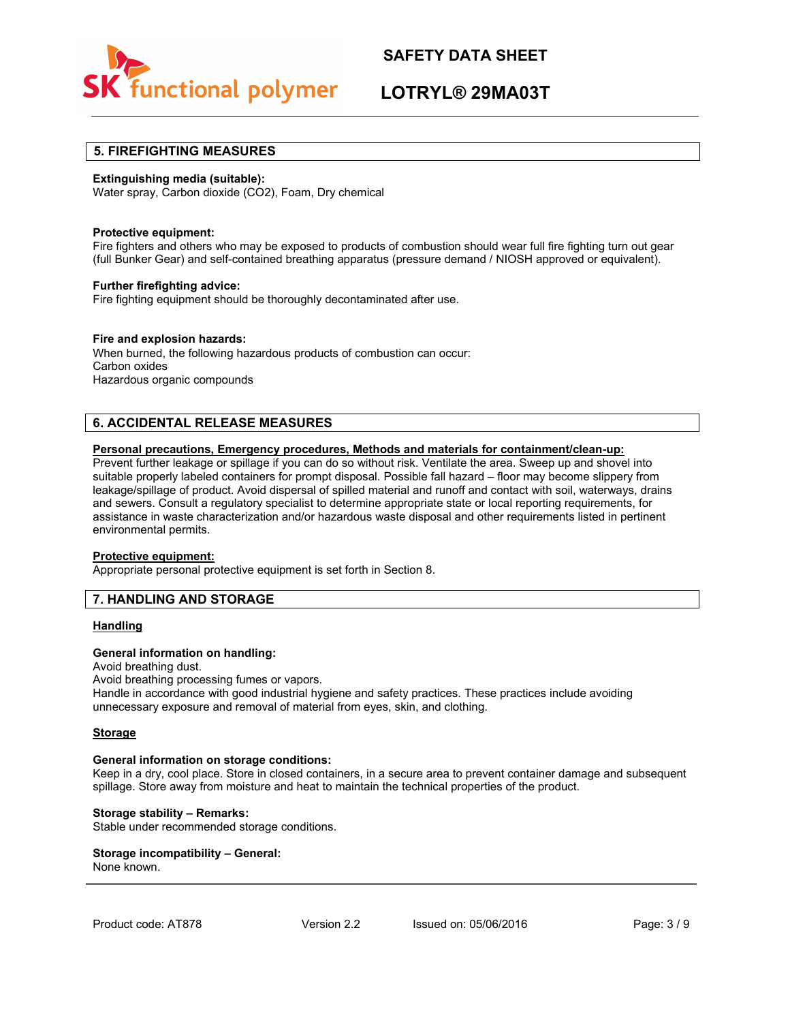

## **LOTRYL® 29MA03T**

#### **5. FIREFIGHTING MEASURES**

#### **Extinguishing media (suitable):**

Water spray, Carbon dioxide (CO2), Foam, Dry chemical

#### **Protective equipment:**

Fire fighters and others who may be exposed to products of combustion should wear full fire fighting turn out gear (full Bunker Gear) and self-contained breathing apparatus (pressure demand / NIOSH approved or equivalent).

#### **Further firefighting advice:**

Fire fighting equipment should be thoroughly decontaminated after use.

#### **Fire and explosion hazards:**

When burned, the following hazardous products of combustion can occur: Carbon oxides Hazardous organic compounds

### **6. ACCIDENTAL RELEASE MEASURES**

#### **Personal precautions, Emergency procedures, Methods and materials for containment/clean-up:**

Prevent further leakage or spillage if you can do so without risk. Ventilate the area. Sweep up and shovel into suitable properly labeled containers for prompt disposal. Possible fall hazard – floor may become slippery from leakage/spillage of product. Avoid dispersal of spilled material and runoff and contact with soil, waterways, drains and sewers. Consult a regulatory specialist to determine appropriate state or local reporting requirements, for assistance in waste characterization and/or hazardous waste disposal and other requirements listed in pertinent environmental permits.

#### **Protective equipment:**

Appropriate personal protective equipment is set forth in Section 8.

### **7. HANDLING AND STORAGE**

#### **Handling**

#### **General information on handling:**

Avoid breathing dust. Avoid breathing processing fumes or vapors. Handle in accordance with good industrial hygiene and safety practices. These practices include avoiding unnecessary exposure and removal of material from eyes, skin, and clothing.

#### **Storage**

#### **General information on storage conditions:**

Keep in a dry, cool place. Store in closed containers, in a secure area to prevent container damage and subsequent spillage. Store away from moisture and heat to maintain the technical properties of the product.

#### **Storage stability – Remarks:**

Stable under recommended storage conditions.

# **Storage incompatibility – General:**

None known.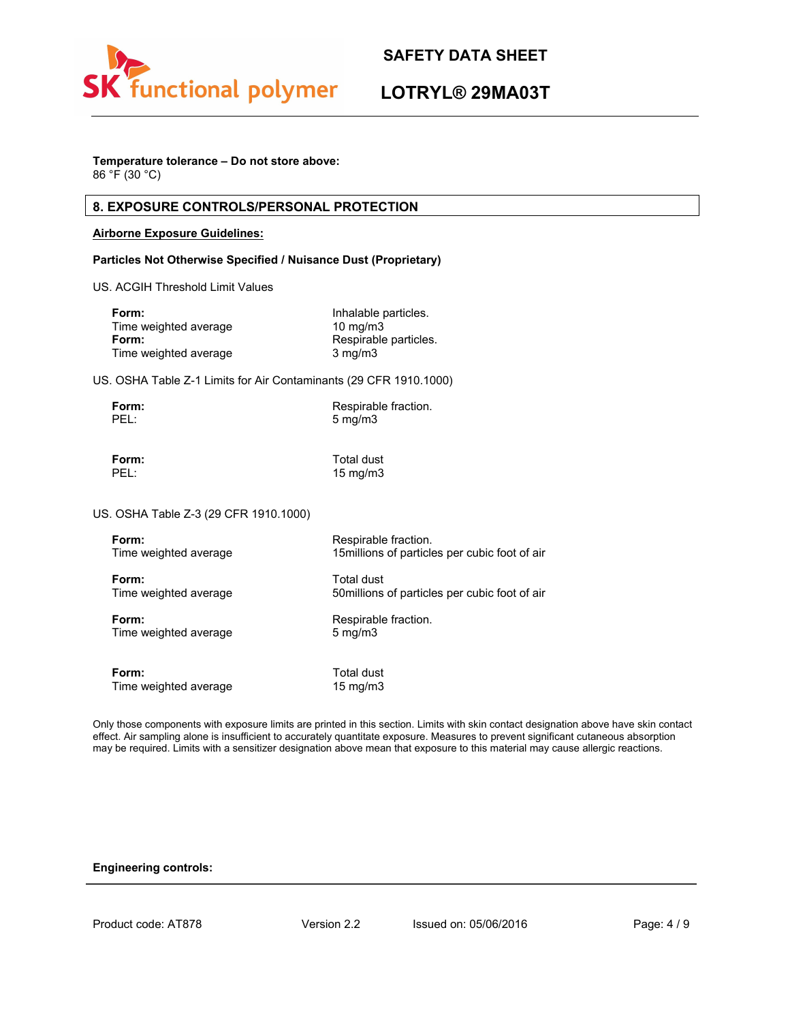

## **LOTRYL® 29MA03T**

### **Temperature tolerance – Do not store above:**

86 °F (30 °C)

### **8. EXPOSURE CONTROLS/PERSONAL PROTECTION**

#### **Airborne Exposure Guidelines:**

#### **Particles Not Otherwise Specified / Nuisance Dust (Proprietary)**

US. ACGIH Threshold Limit Values

| Form:                 | Inhalable particles.  |
|-----------------------|-----------------------|
| Time weighted average | $10 \text{ mg/m}$     |
| Form:                 | Respirable particles. |
| Time weighted average | $3 \text{ mg/m}$      |

US. OSHA Table Z-1 Limits for Air Contaminants (29 CFR 1910.1000)

| Form: | Respirable fraction. |
|-------|----------------------|
| PEL:  | $5 \text{ mg/m}$     |

**Form:** Total dust<br>PEL: 15 ma/m3

15 mg/m3

US. OSHA Table Z-3 (29 CFR 1910.1000)

| Form:                 | Respirable fraction.                           |
|-----------------------|------------------------------------------------|
| Time weighted average | 15 millions of particles per cubic foot of air |
| Form:                 | Total dust                                     |
| Time weighted average | 50 millions of particles per cubic foot of air |
| Form:                 | Respirable fraction.                           |
| Time weighted average | $5 \text{ mg/m}$                               |
| Form:                 | Total dust                                     |
| Time weighted average | 15 mg/m $3$                                    |

Only those components with exposure limits are printed in this section. Limits with skin contact designation above have skin contact effect. Air sampling alone is insufficient to accurately quantitate exposure. Measures to prevent significant cutaneous absorption may be required. Limits with a sensitizer designation above mean that exposure to this material may cause allergic reactions.

#### **Engineering controls:**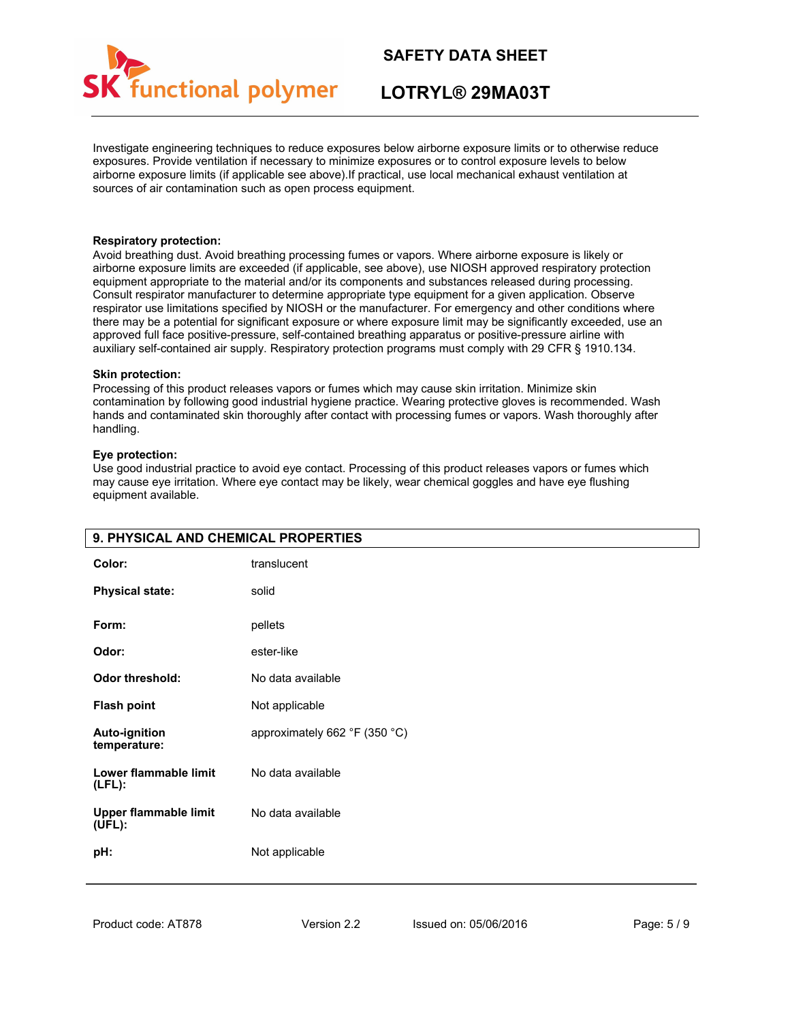

## **LOTRYL® 29MA03T**

Investigate engineering techniques to reduce exposures below airborne exposure limits or to otherwise reduce exposures. Provide ventilation if necessary to minimize exposures or to control exposure levels to below airborne exposure limits (if applicable see above).If practical, use local mechanical exhaust ventilation at sources of air contamination such as open process equipment.

#### **Respiratory protection:**

Avoid breathing dust. Avoid breathing processing fumes or vapors. Where airborne exposure is likely or airborne exposure limits are exceeded (if applicable, see above), use NIOSH approved respiratory protection equipment appropriate to the material and/or its components and substances released during processing. Consult respirator manufacturer to determine appropriate type equipment for a given application. Observe respirator use limitations specified by NIOSH or the manufacturer. For emergency and other conditions where there may be a potential for significant exposure or where exposure limit may be significantly exceeded, use an approved full face positive-pressure, self-contained breathing apparatus or positive-pressure airline with auxiliary self-contained air supply. Respiratory protection programs must comply with 29 CFR § 1910.134.

#### **Skin protection:**

Processing of this product releases vapors or fumes which may cause skin irritation. Minimize skin contamination by following good industrial hygiene practice. Wearing protective gloves is recommended. Wash hands and contaminated skin thoroughly after contact with processing fumes or vapors. Wash thoroughly after handling.

#### **Eye protection:**

Use good industrial practice to avoid eye contact. Processing of this product releases vapors or fumes which may cause eye irritation. Where eye contact may be likely, wear chemical goggles and have eye flushing equipment available.

| 9. PHYSICAL AND CHEMICAL PROPERTIES                  |                               |  |
|------------------------------------------------------|-------------------------------|--|
| Color:                                               | translucent                   |  |
| <b>Physical state:</b>                               | solid                         |  |
| Form:                                                | pellets                       |  |
| Odor:                                                | ester-like                    |  |
| <b>Odor threshold:</b>                               | No data available             |  |
| <b>Flash point</b>                                   | Not applicable                |  |
| <b>Auto-ignition</b><br>temperature:                 | approximately 662 °F (350 °C) |  |
| Lower flammable limit<br>$(LFL)$ :                   | No data available             |  |
| <b>Upper flammable limit</b><br>$(\overline{UFL})$ : | No data available             |  |
| pH:                                                  | Not applicable                |  |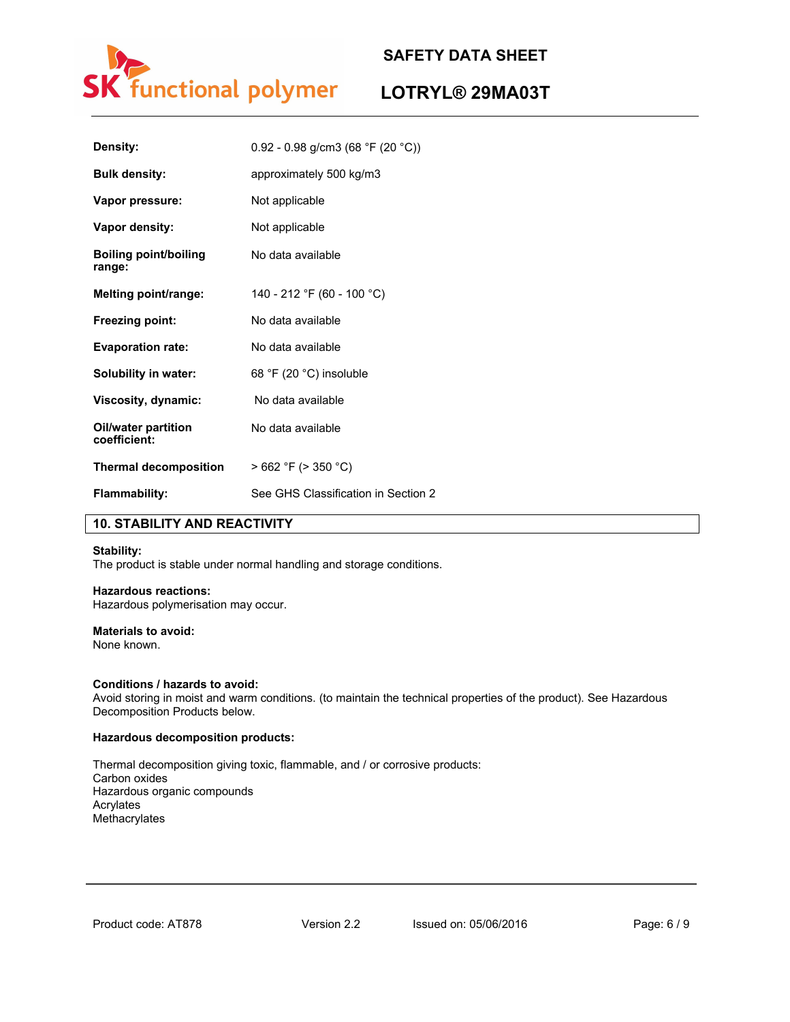

## **LOTRYL® 29MA03T**

| Density:                            | $0.92 - 0.98$ g/cm3 (68 °F (20 °C)) |
|-------------------------------------|-------------------------------------|
| <b>Bulk density:</b>                | approximately 500 kg/m3             |
| Vapor pressure:                     | Not applicable                      |
| Vapor density:                      | Not applicable                      |
| Boiling point/boiling<br>range:     | No data available                   |
| Melting point/range:                | 140 - 212 °F (60 - 100 °C)          |
| Freezing point:                     | No data available                   |
| <b>Evaporation rate:</b>            | No data available                   |
| Solubility in water:                | 68 °F (20 °C) insoluble             |
| Viscosity, dynamic:                 | No data available                   |
| Oil/water partition<br>coefficient: | No data available                   |
| <b>Thermal decomposition</b>        | $>662$ °F ( $>350$ °C)              |
| <b>Flammability:</b>                | See GHS Classification in Section 2 |

### **10. STABILITY AND REACTIVITY**

#### **Stability:**

The product is stable under normal handling and storage conditions.

#### **Hazardous reactions:**

Hazardous polymerisation may occur.

#### **Materials to avoid:**

None known.

#### **Conditions / hazards to avoid:**

Avoid storing in moist and warm conditions. (to maintain the technical properties of the product). See Hazardous Decomposition Products below.

#### **Hazardous decomposition products:**

Thermal decomposition giving toxic, flammable, and / or corrosive products: Carbon oxides Hazardous organic compounds Acrylates Methacrylates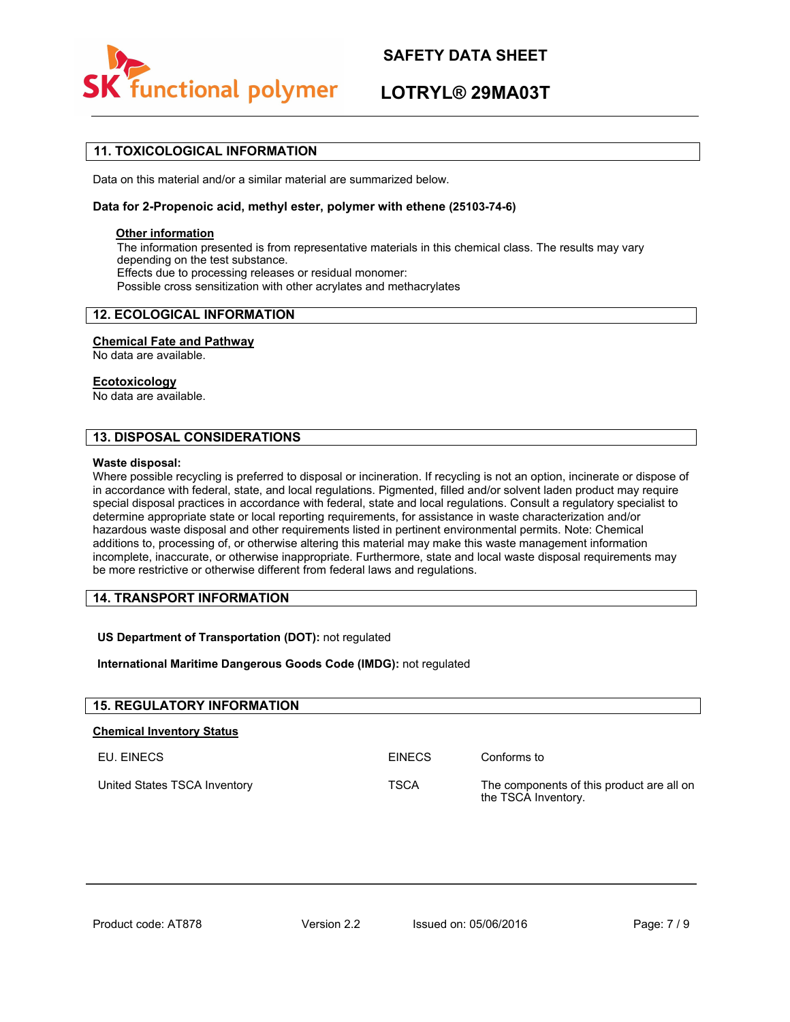

## **LOTRYL® 29MA03T**

### **11. TOXICOLOGICAL INFORMATION**

Data on this material and/or a similar material are summarized below.

#### **Data for 2-Propenoic acid, methyl ester, polymer with ethene (25103-74-6)**

### **Other information**

The information presented is from representative materials in this chemical class. The results may vary depending on the test substance. Effects due to processing releases or residual monomer: Possible cross sensitization with other acrylates and methacrylates

### **12. ECOLOGICAL INFORMATION**

#### **Chemical Fate and Pathway**

No data are available.

#### **Ecotoxicology**

No data are available.

### **13. DISPOSAL CONSIDERATIONS**

#### **Waste disposal:**

Where possible recycling is preferred to disposal or incineration. If recycling is not an option, incinerate or dispose of in accordance with federal, state, and local regulations. Pigmented, filled and/or solvent laden product may require special disposal practices in accordance with federal, state and local regulations. Consult a regulatory specialist to determine appropriate state or local reporting requirements, for assistance in waste characterization and/or hazardous waste disposal and other requirements listed in pertinent environmental permits. Note: Chemical additions to, processing of, or otherwise altering this material may make this waste management information incomplete, inaccurate, or otherwise inappropriate. Furthermore, state and local waste disposal requirements may be more restrictive or otherwise different from federal laws and regulations.

#### **14. TRANSPORT INFORMATION**

**US Department of Transportation (DOT):** not regulated

#### **International Maritime Dangerous Goods Code (IMDG):** not regulated

| <b>15. REGULATORY INFORMATION</b> |               |                                                                  |  |
|-----------------------------------|---------------|------------------------------------------------------------------|--|
| <b>Chemical Inventory Status</b>  |               |                                                                  |  |
| EU. EINECS                        | <b>FINFCS</b> | Conforms to                                                      |  |
| United States TSCA Inventory      | <b>TSCA</b>   | The components of this product are all on<br>the TSCA Inventory. |  |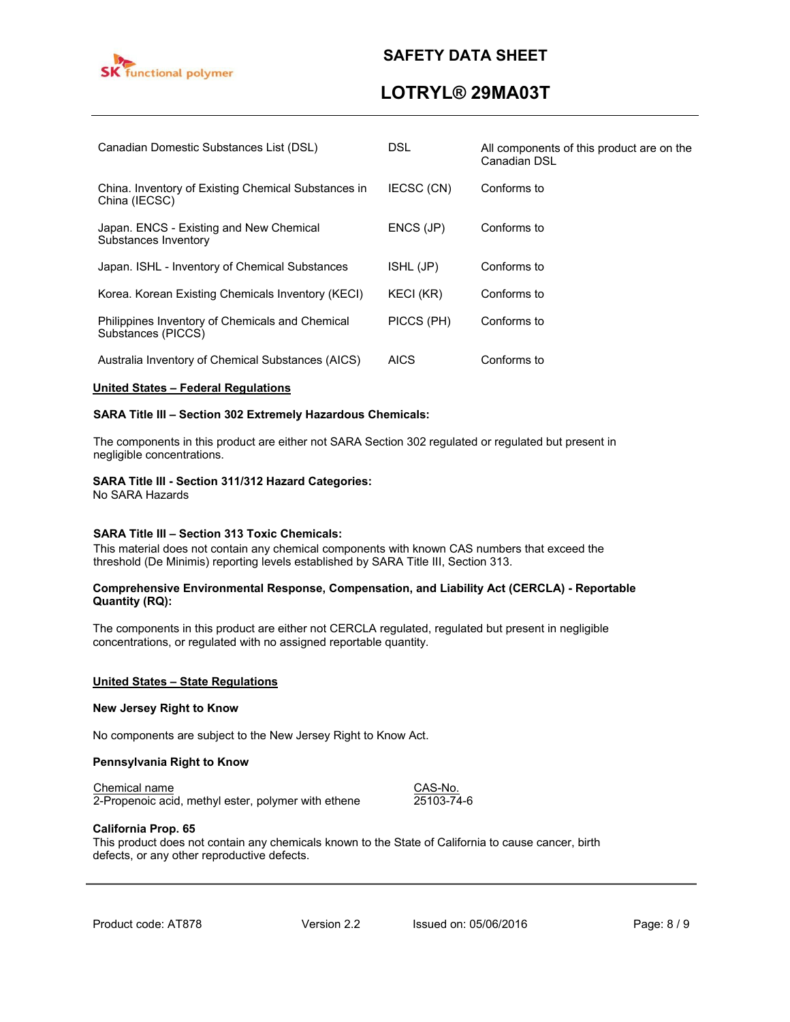

## **LOTRYL® 29MA03T**

| Canadian Domestic Substances List (DSL)                               | DSL.        | All components of this product are on the<br>Canadian DSL |
|-----------------------------------------------------------------------|-------------|-----------------------------------------------------------|
| China. Inventory of Existing Chemical Substances in<br>China (IECSC)  | IECSC (CN)  | Conforms to                                               |
| Japan. ENCS - Existing and New Chemical<br>Substances Inventory       | ENCS (JP)   | Conforms to                                               |
| Japan. ISHL - Inventory of Chemical Substances                        | ISHL (JP)   | Conforms to                                               |
| Korea. Korean Existing Chemicals Inventory (KECI)                     | KECI (KR)   | Conforms to                                               |
| Philippines Inventory of Chemicals and Chemical<br>Substances (PICCS) | PICCS (PH)  | Conforms to                                               |
| Australia Inventory of Chemical Substances (AICS)                     | <b>AICS</b> | Conforms to                                               |

#### **United States – Federal Regulations**

#### **SARA Title III – Section 302 Extremely Hazardous Chemicals:**

The components in this product are either not SARA Section 302 regulated or regulated but present in negligible concentrations.

#### **SARA Title III - Section 311/312 Hazard Categories:**

No SARA Hazards

#### **SARA Title III – Section 313 Toxic Chemicals:**

This material does not contain any chemical components with known CAS numbers that exceed the threshold (De Minimis) reporting levels established by SARA Title III, Section 313.

#### **Comprehensive Environmental Response, Compensation, and Liability Act (CERCLA) - Reportable Quantity (RQ):**

The components in this product are either not CERCLA regulated, regulated but present in negligible concentrations, or regulated with no assigned reportable quantity.

#### **United States – State Regulations**

#### **New Jersey Right to Know**

No components are subject to the New Jersey Right to Know Act.

#### **Pennsylvania Right to Know**

Chemical name<br>
2-Propenoic acid, methyl ester, polymer with ethene 25103-74-6 2-Propenoic acid, methyl ester, polymer with ethene

#### **California Prop. 65**

This product does not contain any chemicals known to the State of California to cause cancer, birth defects, or any other reproductive defects.